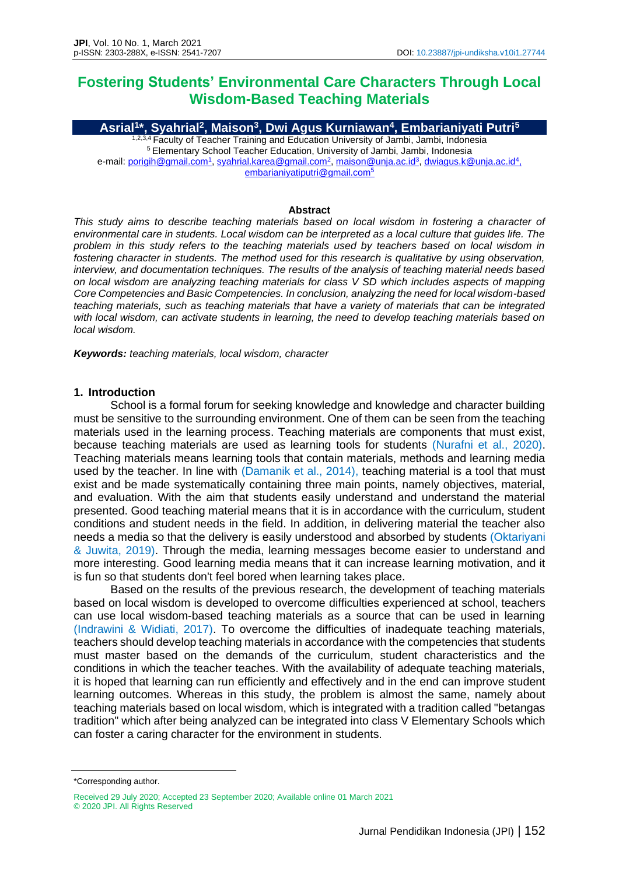# **Fostering Students' Environmental Care Characters Through Local Wisdom-Based Teaching Materials**

**Asrial<sup>1</sup> \*, Syahrial<sup>2</sup> , Maison<sup>3</sup> , Dwi Agus Kurniawan<sup>4</sup> , Embarianiyati Putri<sup>5</sup>** <sup>2,3,4</sup> Faculty of Teacher Training and Education University of Jambi, Jambi, Indonesia <sup>5</sup> Elementary School Teacher Education, University of Jambi, Jambi, Indonesia e-mail: [porigih@gmail.com](mailto:porigih@gmail.com)<sup>1</sup>[, syahrial.karea@gmail.com](mailto:syahrial.karea@gmail.com)<sup>2</sup>, [maison@unja.ac.id](mailto:maison@unja.ac.id)<sup>3</sup>, [dwiagus.k@unja.ac.id](mailto:dwiagus.k@unja.ac.id4,%20embarianiyatiputri@gmail.com)<sup>4</sup>,

[embarianiyatiputri@gmail.com](mailto:dwiagus.k@unja.ac.id4,%20embarianiyatiputri@gmail.com)<sup>5</sup>

#### **Abstract**

*This study aims to describe teaching materials based on local wisdom in fostering a character of environmental care in students. Local wisdom can be interpreted as a local culture that guides life. The*  problem in this study refers to the teaching materials used by teachers based on local wisdom in *fostering character in students. The method used for this research is qualitative by using observation, interview, and documentation techniques. The results of the analysis of teaching material needs based on local wisdom are analyzing teaching materials for class V SD which includes aspects of mapping Core Competencies and Basic Competencies. In conclusion, analyzing the need for local wisdom-based teaching materials, such as teaching materials that have a variety of materials that can be integrated with local wisdom, can activate students in learning, the need to develop teaching materials based on local wisdom.*

*Keywords: teaching materials, local wisdom, character*

## **1. Introduction**

School is a formal forum for seeking knowledge and knowledge and character building must be sensitive to the surrounding environment. One of them can be seen from the teaching materials used in the learning process. Teaching materials are components that must exist, because teaching materials are used as learning tools for students (Nurafni et al., 2020). Teaching materials means learning tools that contain materials, methods and learning media used by the teacher. In line with (Damanik et al., 2014), teaching material is a tool that must exist and be made systematically containing three main points, namely objectives, material, and evaluation. With the aim that students easily understand and understand the material presented. Good teaching material means that it is in accordance with the curriculum, student conditions and student needs in the field. In addition, in delivering material the teacher also needs a media so that the delivery is easily understood and absorbed by students (Oktariyani & Juwita, 2019). Through the media, learning messages become easier to understand and more interesting. Good learning media means that it can increase learning motivation, and it is fun so that students don't feel bored when learning takes place.

Based on the results of the previous research, the development of teaching materials based on local wisdom is developed to overcome difficulties experienced at school, teachers can use local wisdom-based teaching materials as a source that can be used in learning (Indrawini & Widiati, 2017). To overcome the difficulties of inadequate teaching materials, teachers should develop teaching materials in accordance with the competencies that students must master based on the demands of the curriculum, student characteristics and the conditions in which the teacher teaches. With the availability of adequate teaching materials, it is hoped that learning can run efficiently and effectively and in the end can improve student learning outcomes. Whereas in this study, the problem is almost the same, namely about teaching materials based on local wisdom, which is integrated with a tradition called "betangas tradition" which after being analyzed can be integrated into class V Elementary Schools which can foster a caring character for the environment in students.

<sup>\*</sup>Corresponding author.

Received 29 July 2020; Accepted 23 September 2020; Available online 01 March 2021 © 2020 JPI. All Rights Reserved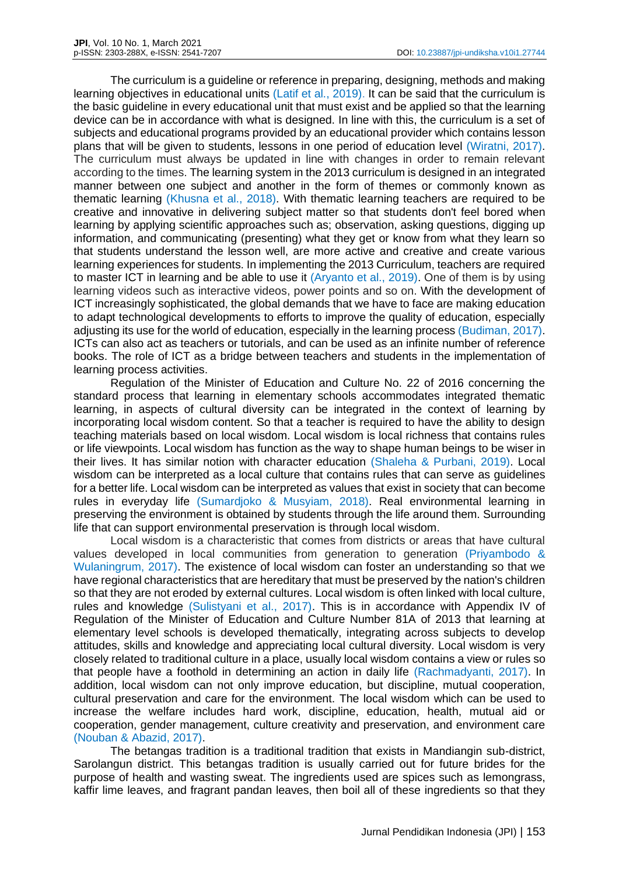The curriculum is a guideline or reference in preparing, designing, methods and making learning objectives in educational units (Latif et al., 2019). It can be said that the curriculum is the basic guideline in every educational unit that must exist and be applied so that the learning device can be in accordance with what is designed. In line with this, the curriculum is a set of subjects and educational programs provided by an educational provider which contains lesson plans that will be given to students, lessons in one period of education level (Wiratni, 2017). The curriculum must always be updated in line with changes in order to remain relevant according to the times. The learning system in the 2013 curriculum is designed in an integrated manner between one subject and another in the form of themes or commonly known as thematic learning (Khusna et al., 2018). With thematic learning teachers are required to be creative and innovative in delivering subject matter so that students don't feel bored when learning by applying scientific approaches such as; observation, asking questions, digging up information, and communicating (presenting) what they get or know from what they learn so that students understand the lesson well, are more active and creative and create various learning experiences for students. In implementing the 2013 Curriculum, teachers are required to master ICT in learning and be able to use it (Aryanto et al., 2019). One of them is by using learning videos such as interactive videos, power points and so on. With the development of ICT increasingly sophisticated, the global demands that we have to face are making education to adapt technological developments to efforts to improve the quality of education, especially adjusting its use for the world of education, especially in the learning process (Budiman, 2017). ICTs can also act as teachers or tutorials, and can be used as an infinite number of reference books. The role of ICT as a bridge between teachers and students in the implementation of learning process activities.

Regulation of the Minister of Education and Culture No. 22 of 2016 concerning the standard process that learning in elementary schools accommodates integrated thematic learning, in aspects of cultural diversity can be integrated in the context of learning by incorporating local wisdom content. So that a teacher is required to have the ability to design teaching materials based on local wisdom. Local wisdom is local richness that contains rules or life viewpoints. Local wisdom has function as the way to shape human beings to be wiser in their lives. It has similar notion with character education (Shaleha & Purbani, 2019). Local wisdom can be interpreted as a local culture that contains rules that can serve as guidelines for a better life. Local wisdom can be interpreted as values that exist in society that can become rules in everyday life (Sumardjoko & Musyiam, 2018). Real environmental learning in preserving the environment is obtained by students through the life around them. Surrounding life that can support environmental preservation is through local wisdom.

Local wisdom is a characteristic that comes from districts or areas that have cultural values developed in local communities from generation to generation (Priyambodo & Wulaningrum, 2017). The existence of local wisdom can foster an understanding so that we have regional characteristics that are hereditary that must be preserved by the nation's children so that they are not eroded by external cultures. Local wisdom is often linked with local culture, rules and knowledge (Sulistyani et al., 2017). This is in accordance with Appendix IV of Regulation of the Minister of Education and Culture Number 81A of 2013 that learning at elementary level schools is developed thematically, integrating across subjects to develop attitudes, skills and knowledge and appreciating local cultural diversity. Local wisdom is very closely related to traditional culture in a place, usually local wisdom contains a view or rules so that people have a foothold in determining an action in daily life (Rachmadyanti, 2017). In addition, local wisdom can not only improve education, but discipline, mutual cooperation, cultural preservation and care for the environment. The local wisdom which can be used to increase the welfare includes hard work, discipline, education, health, mutual aid or cooperation, gender management, culture creativity and preservation, and environment care (Nouban & Abazid, 2017).

The betangas tradition is a traditional tradition that exists in Mandiangin sub-district, Sarolangun district. This betangas tradition is usually carried out for future brides for the purpose of health and wasting sweat. The ingredients used are spices such as lemongrass, kaffir lime leaves, and fragrant pandan leaves, then boil all of these ingredients so that they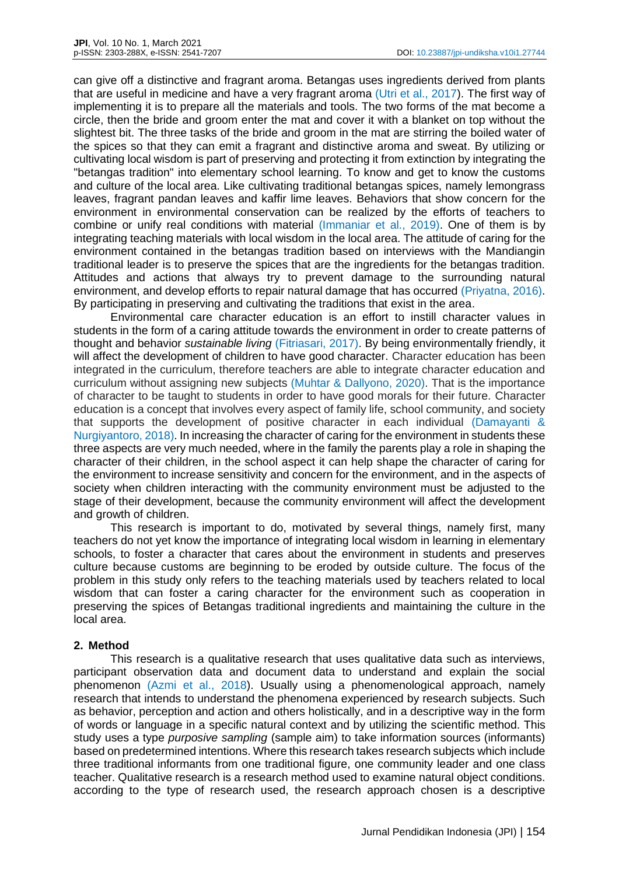can give off a distinctive and fragrant aroma. Betangas uses ingredients derived from plants that are useful in medicine and have a very fragrant aroma (Utri et al., 2017). The first way of implementing it is to prepare all the materials and tools. The two forms of the mat become a circle, then the bride and groom enter the mat and cover it with a blanket on top without the slightest bit. The three tasks of the bride and groom in the mat are stirring the boiled water of the spices so that they can emit a fragrant and distinctive aroma and sweat. By utilizing or cultivating local wisdom is part of preserving and protecting it from extinction by integrating the "betangas tradition" into elementary school learning. To know and get to know the customs and culture of the local area. Like cultivating traditional betangas spices, namely lemongrass leaves, fragrant pandan leaves and kaffir lime leaves. Behaviors that show concern for the environment in environmental conservation can be realized by the efforts of teachers to combine or unify real conditions with material (Immaniar et al., 2019). One of them is by integrating teaching materials with local wisdom in the local area. The attitude of caring for the environment contained in the betangas tradition based on interviews with the Mandiangin traditional leader is to preserve the spices that are the ingredients for the betangas tradition. Attitudes and actions that always try to prevent damage to the surrounding natural environment, and develop efforts to repair natural damage that has occurred (Priyatna, 2016). By participating in preserving and cultivating the traditions that exist in the area.

Environmental care character education is an effort to instill character values in students in the form of a caring attitude towards the environment in order to create patterns of thought and behavior *sustainable living* (Fitriasari, 2017). By being environmentally friendly, it will affect the development of children to have good character. Character education has been integrated in the curriculum, therefore teachers are able to integrate character education and curriculum without assigning new subjects (Muhtar & Dallyono, 2020). That is the importance of character to be taught to students in order to have good morals for their future. Character education is a concept that involves every aspect of family life, school community, and society that supports the development of positive character in each individual (Damayanti & Nurgiyantoro, 2018). In increasing the character of caring for the environment in students these three aspects are very much needed, where in the family the parents play a role in shaping the character of their children, in the school aspect it can help shape the character of caring for the environment to increase sensitivity and concern for the environment, and in the aspects of society when children interacting with the community environment must be adjusted to the stage of their development, because the community environment will affect the development and growth of children.

This research is important to do, motivated by several things, namely first, many teachers do not yet know the importance of integrating local wisdom in learning in elementary schools, to foster a character that cares about the environment in students and preserves culture because customs are beginning to be eroded by outside culture. The focus of the problem in this study only refers to the teaching materials used by teachers related to local wisdom that can foster a caring character for the environment such as cooperation in preserving the spices of Betangas traditional ingredients and maintaining the culture in the local area.

## **2. Method**

This research is a qualitative research that uses qualitative data such as interviews, participant observation data and document data to understand and explain the social phenomenon (Azmi et al., 2018). Usually using a phenomenological approach, namely research that intends to understand the phenomena experienced by research subjects. Such as behavior, perception and action and others holistically, and in a descriptive way in the form of words or language in a specific natural context and by utilizing the scientific method. This study uses a type *purposive sampling* (sample aim) to take information sources (informants) based on predetermined intentions. Where this research takes research subjects which include three traditional informants from one traditional figure, one community leader and one class teacher. Qualitative research is a research method used to examine natural object conditions. according to the type of research used, the research approach chosen is a descriptive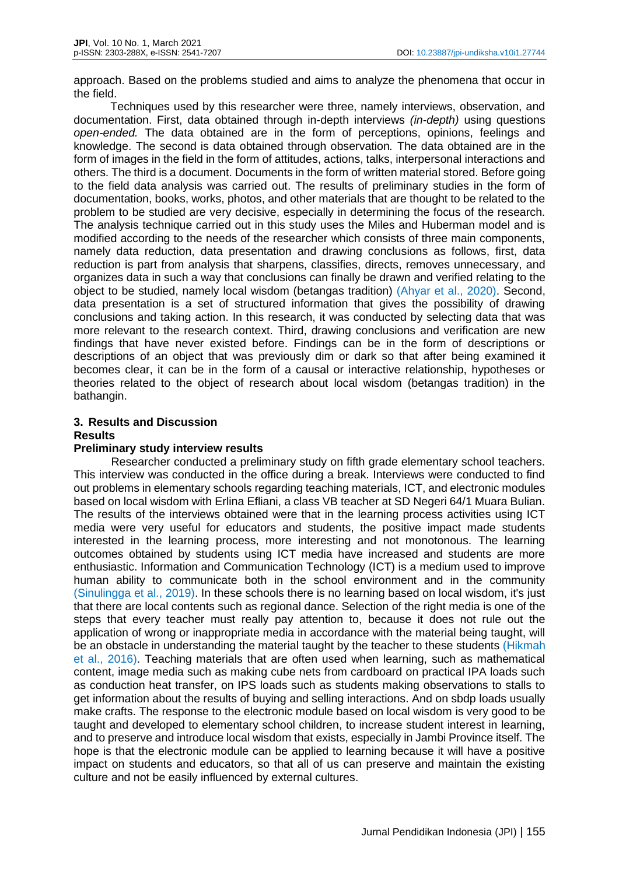approach. Based on the problems studied and aims to analyze the phenomena that occur in the field.

Techniques used by this researcher were three, namely interviews, observation, and documentation. First, data obtained through in-depth interviews *(in-depth)* using questions *open-ended.* The data obtained are in the form of perceptions, opinions, feelings and knowledge. The second is data obtained through observation*.* The data obtained are in the form of images in the field in the form of attitudes, actions, talks, interpersonal interactions and others. The third is a document. Documents in the form of written material stored. Before going to the field data analysis was carried out. The results of preliminary studies in the form of documentation, books, works, photos, and other materials that are thought to be related to the problem to be studied are very decisive, especially in determining the focus of the research. The analysis technique carried out in this study uses the Miles and Huberman model and is modified according to the needs of the researcher which consists of three main components, namely data reduction, data presentation and drawing conclusions as follows, first, data reduction is part from analysis that sharpens, classifies, directs, removes unnecessary, and organizes data in such a way that conclusions can finally be drawn and verified relating to the object to be studied, namely local wisdom (betangas tradition) (Ahyar et al., 2020). Second, data presentation is a set of structured information that gives the possibility of drawing conclusions and taking action. In this research, it was conducted by selecting data that was more relevant to the research context. Third, drawing conclusions and verification are new findings that have never existed before. Findings can be in the form of descriptions or descriptions of an object that was previously dim or dark so that after being examined it becomes clear, it can be in the form of a causal or interactive relationship, hypotheses or theories related to the object of research about local wisdom (betangas tradition) in the bathangin.

## **3. Results and Discussion Results**

#### **Preliminary study interview results**

Researcher conducted a preliminary study on fifth grade elementary school teachers. This interview was conducted in the office during a break. Interviews were conducted to find out problems in elementary schools regarding teaching materials, ICT, and electronic modules based on local wisdom with Erlina Efliani, a class VB teacher at SD Negeri 64/1 Muara Bulian. The results of the interviews obtained were that in the learning process activities using ICT media were very useful for educators and students, the positive impact made students interested in the learning process, more interesting and not monotonous. The learning outcomes obtained by students using ICT media have increased and students are more enthusiastic. Information and Communication Technology (ICT) is a medium used to improve human ability to communicate both in the school environment and in the community (Sinulingga et al., 2019). In these schools there is no learning based on local wisdom, it's just that there are local contents such as regional dance. Selection of the right media is one of the steps that every teacher must really pay attention to, because it does not rule out the application of wrong or inappropriate media in accordance with the material being taught, will be an obstacle in understanding the material taught by the teacher to these students (Hikmah et al., 2016). Teaching materials that are often used when learning, such as mathematical content, image media such as making cube nets from cardboard on practical IPA loads such as conduction heat transfer, on IPS loads such as students making observations to stalls to get information about the results of buying and selling interactions. And on sbdp loads usually make crafts. The response to the electronic module based on local wisdom is very good to be taught and developed to elementary school children, to increase student interest in learning, and to preserve and introduce local wisdom that exists, especially in Jambi Province itself. The hope is that the electronic module can be applied to learning because it will have a positive impact on students and educators, so that all of us can preserve and maintain the existing culture and not be easily influenced by external cultures.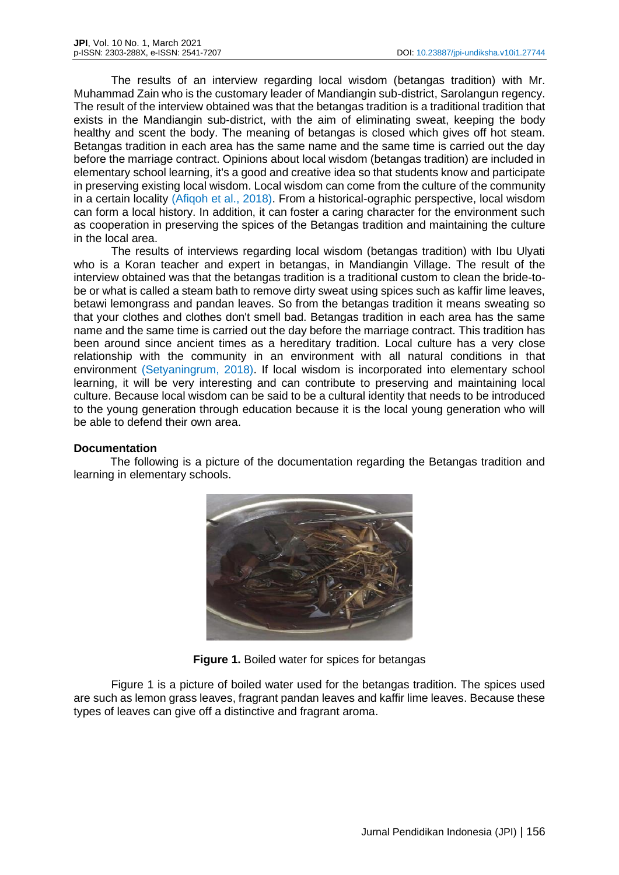The results of an interview regarding local wisdom (betangas tradition) with Mr. Muhammad Zain who is the customary leader of Mandiangin sub-district, Sarolangun regency. The result of the interview obtained was that the betangas tradition is a traditional tradition that exists in the Mandiangin sub-district, with the aim of eliminating sweat, keeping the body healthy and scent the body. The meaning of betangas is closed which gives off hot steam. Betangas tradition in each area has the same name and the same time is carried out the day before the marriage contract. Opinions about local wisdom (betangas tradition) are included in elementary school learning, it's a good and creative idea so that students know and participate in preserving existing local wisdom. Local wisdom can come from the culture of the community in a certain locality (Afiqoh et al., 2018). From a historical-ographic perspective, local wisdom can form a local history. In addition, it can foster a caring character for the environment such as cooperation in preserving the spices of the Betangas tradition and maintaining the culture in the local area.

The results of interviews regarding local wisdom (betangas tradition) with Ibu Ulyati who is a Koran teacher and expert in betangas, in Mandiangin Village. The result of the interview obtained was that the betangas tradition is a traditional custom to clean the bride-tobe or what is called a steam bath to remove dirty sweat using spices such as kaffir lime leaves, betawi lemongrass and pandan leaves. So from the betangas tradition it means sweating so that your clothes and clothes don't smell bad. Betangas tradition in each area has the same name and the same time is carried out the day before the marriage contract. This tradition has been around since ancient times as a hereditary tradition. Local culture has a very close relationship with the community in an environment with all natural conditions in that environment (Setyaningrum, 2018). If local wisdom is incorporated into elementary school learning, it will be very interesting and can contribute to preserving and maintaining local culture. Because local wisdom can be said to be a cultural identity that needs to be introduced to the young generation through education because it is the local young generation who will be able to defend their own area.

#### **Documentation**

The following is a picture of the documentation regarding the Betangas tradition and learning in elementary schools.



**Figure 1.** Boiled water for spices for betangas

Figure 1 is a picture of boiled water used for the betangas tradition. The spices used are such as lemon grass leaves, fragrant pandan leaves and kaffir lime leaves. Because these types of leaves can give off a distinctive and fragrant aroma.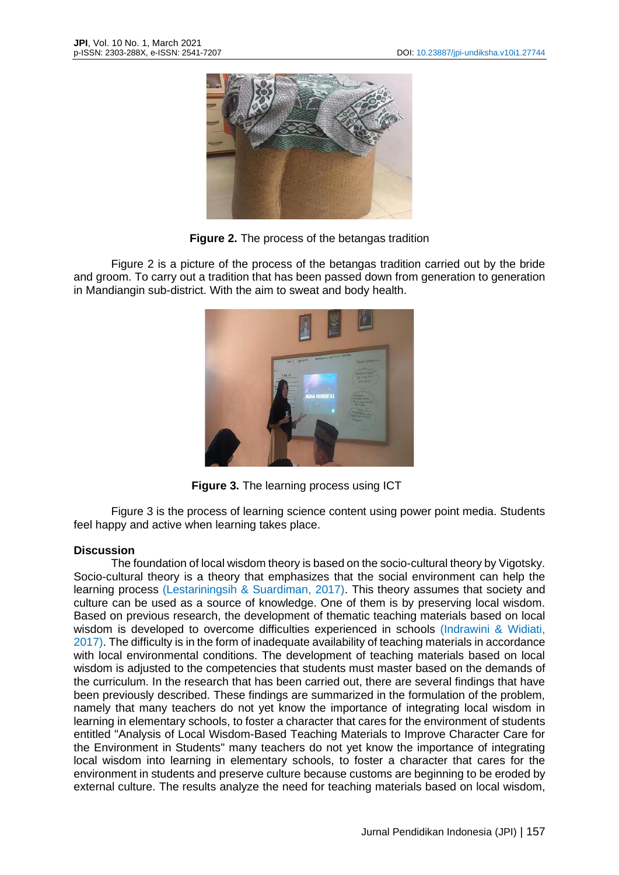

**Figure 2.** The process of the betangas tradition

Figure 2 is a picture of the process of the betangas tradition carried out by the bride and groom. To carry out a tradition that has been passed down from generation to generation in Mandiangin sub-district. With the aim to sweat and body health.



**Figure 3.** The learning process using ICT

Figure 3 is the process of learning science content using power point media. Students feel happy and active when learning takes place.

## **Discussion**

The foundation of local wisdom theory is based on the socio-cultural theory by Vigotsky. Socio-cultural theory is a theory that emphasizes that the social environment can help the learning process (Lestariningsih & Suardiman, 2017). This theory assumes that society and culture can be used as a source of knowledge. One of them is by preserving local wisdom. Based on previous research, the development of thematic teaching materials based on local wisdom is developed to overcome difficulties experienced in schools (Indrawini & Widiati, 2017). The difficulty is in the form of inadequate availability of teaching materials in accordance with local environmental conditions. The development of teaching materials based on local wisdom is adjusted to the competencies that students must master based on the demands of the curriculum. In the research that has been carried out, there are several findings that have been previously described. These findings are summarized in the formulation of the problem, namely that many teachers do not yet know the importance of integrating local wisdom in learning in elementary schools, to foster a character that cares for the environment of students entitled "Analysis of Local Wisdom-Based Teaching Materials to Improve Character Care for the Environment in Students" many teachers do not yet know the importance of integrating local wisdom into learning in elementary schools, to foster a character that cares for the environment in students and preserve culture because customs are beginning to be eroded by external culture. The results analyze the need for teaching materials based on local wisdom,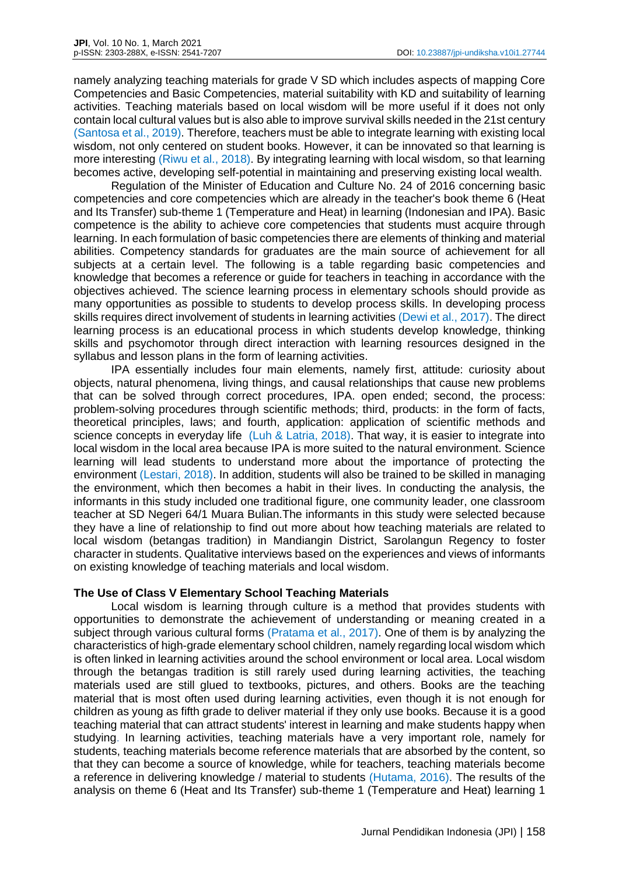namely analyzing teaching materials for grade V SD which includes aspects of mapping Core Competencies and Basic Competencies, material suitability with KD and suitability of learning activities. Teaching materials based on local wisdom will be more useful if it does not only contain local cultural values but is also able to improve survival skills needed in the 21st century (Santosa et al., 2019). Therefore, teachers must be able to integrate learning with existing local wisdom, not only centered on student books. However, it can be innovated so that learning is more interesting (Riwu et al., 2018). By integrating learning with local wisdom, so that learning becomes active, developing self-potential in maintaining and preserving existing local wealth.

Regulation of the Minister of Education and Culture No. 24 of 2016 concerning basic competencies and core competencies which are already in the teacher's book theme 6 (Heat and Its Transfer) sub-theme 1 (Temperature and Heat) in learning (Indonesian and IPA). Basic competence is the ability to achieve core competencies that students must acquire through learning. In each formulation of basic competencies there are elements of thinking and material abilities. Competency standards for graduates are the main source of achievement for all subjects at a certain level. The following is a table regarding basic competencies and knowledge that becomes a reference or guide for teachers in teaching in accordance with the objectives achieved. The science learning process in elementary schools should provide as many opportunities as possible to students to develop process skills. In developing process skills requires direct involvement of students in learning activities (Dewi et al., 2017). The direct learning process is an educational process in which students develop knowledge, thinking skills and psychomotor through direct interaction with learning resources designed in the syllabus and lesson plans in the form of learning activities.

IPA essentially includes four main elements, namely first, attitude: curiosity about objects, natural phenomena, living things, and causal relationships that cause new problems that can be solved through correct procedures, IPA. open ended; second, the process: problem-solving procedures through scientific methods; third, products: in the form of facts, theoretical principles, laws; and fourth, application: application of scientific methods and science concepts in everyday life (Luh & Latria, 2018). That way, it is easier to integrate into local wisdom in the local area because IPA is more suited to the natural environment. Science learning will lead students to understand more about the importance of protecting the environment (Lestari, 2018). In addition, students will also be trained to be skilled in managing the environment, which then becomes a habit in their lives. In conducting the analysis, the informants in this study included one traditional figure, one community leader, one classroom teacher at SD Negeri 64/1 Muara Bulian.The informants in this study were selected because they have a line of relationship to find out more about how teaching materials are related to local wisdom (betangas tradition) in Mandiangin District, Sarolangun Regency to foster character in students. Qualitative interviews based on the experiences and views of informants on existing knowledge of teaching materials and local wisdom.

## **The Use of Class V Elementary School Teaching Materials**

Local wisdom is learning through culture is a method that provides students with opportunities to demonstrate the achievement of understanding or meaning created in a subject through various cultural forms (Pratama et al., 2017). One of them is by analyzing the characteristics of high-grade elementary school children, namely regarding local wisdom which is often linked in learning activities around the school environment or local area. Local wisdom through the betangas tradition is still rarely used during learning activities, the teaching materials used are still glued to textbooks, pictures, and others. Books are the teaching material that is most often used during learning activities, even though it is not enough for children as young as fifth grade to deliver material if they only use books. Because it is a good teaching material that can attract students' interest in learning and make students happy when studying. In learning activities, teaching materials have a very important role, namely for students, teaching materials become reference materials that are absorbed by the content, so that they can become a source of knowledge, while for teachers, teaching materials become a reference in delivering knowledge / material to students (Hutama, 2016). The results of the analysis on theme 6 (Heat and Its Transfer) sub-theme 1 (Temperature and Heat) learning 1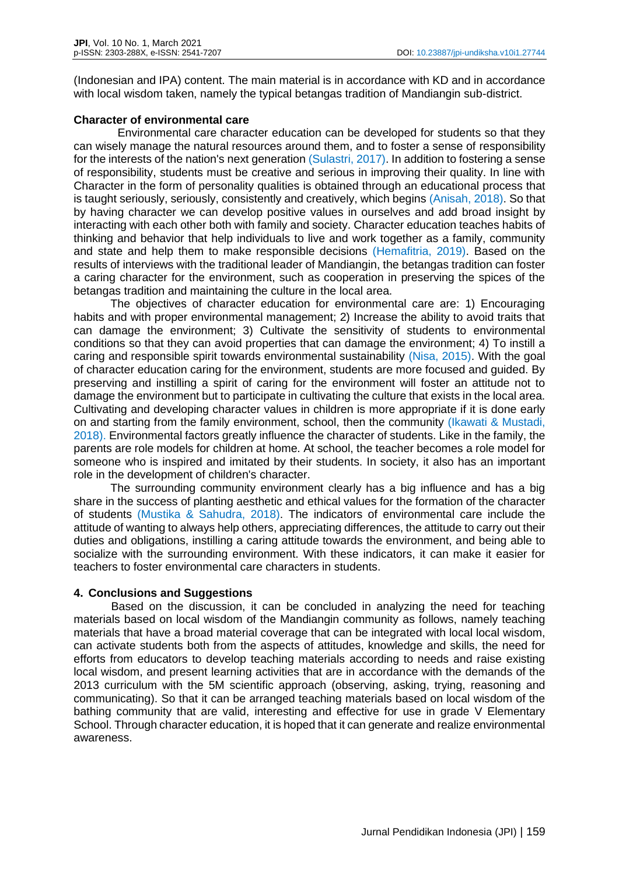(Indonesian and IPA) content. The main material is in accordance with KD and in accordance with local wisdom taken, namely the typical betangas tradition of Mandiangin sub-district.

## **Character of environmental care**

Environmental care character education can be developed for students so that they can wisely manage the natural resources around them, and to foster a sense of responsibility for the interests of the nation's next generation (Sulastri, 2017). In addition to fostering a sense of responsibility, students must be creative and serious in improving their quality. In line with Character in the form of personality qualities is obtained through an educational process that is taught seriously, seriously, consistently and creatively, which begins (Anisah, 2018). So that by having character we can develop positive values in ourselves and add broad insight by interacting with each other both with family and society. Character education teaches habits of thinking and behavior that help individuals to live and work together as a family, community and state and help them to make responsible decisions (Hemafitria, 2019). Based on the results of interviews with the traditional leader of Mandiangin, the betangas tradition can foster a caring character for the environment, such as cooperation in preserving the spices of the betangas tradition and maintaining the culture in the local area.

The objectives of character education for environmental care are: 1) Encouraging habits and with proper environmental management; 2) Increase the ability to avoid traits that can damage the environment; 3) Cultivate the sensitivity of students to environmental conditions so that they can avoid properties that can damage the environment; 4) To instill a caring and responsible spirit towards environmental sustainability (Nisa, 2015). With the goal of character education caring for the environment, students are more focused and guided. By preserving and instilling a spirit of caring for the environment will foster an attitude not to damage the environment but to participate in cultivating the culture that exists in the local area. Cultivating and developing character values in children is more appropriate if it is done early on and starting from the family environment, school, then the community (Ikawati & Mustadi, 2018). Environmental factors greatly influence the character of students. Like in the family, the parents are role models for children at home. At school, the teacher becomes a role model for someone who is inspired and imitated by their students. In society, it also has an important role in the development of children's character.

The surrounding community environment clearly has a big influence and has a big share in the success of planting aesthetic and ethical values for the formation of the character of students (Mustika & Sahudra, 2018). The indicators of environmental care include the attitude of wanting to always help others, appreciating differences, the attitude to carry out their duties and obligations, instilling a caring attitude towards the environment, and being able to socialize with the surrounding environment. With these indicators, it can make it easier for teachers to foster environmental care characters in students.

## **4. Conclusions and Suggestions**

Based on the discussion, it can be concluded in analyzing the need for teaching materials based on local wisdom of the Mandiangin community as follows, namely teaching materials that have a broad material coverage that can be integrated with local local wisdom, can activate students both from the aspects of attitudes, knowledge and skills, the need for efforts from educators to develop teaching materials according to needs and raise existing local wisdom, and present learning activities that are in accordance with the demands of the 2013 curriculum with the 5M scientific approach (observing, asking, trying, reasoning and communicating). So that it can be arranged teaching materials based on local wisdom of the bathing community that are valid, interesting and effective for use in grade V Elementary School. Through character education, it is hoped that it can generate and realize environmental awareness.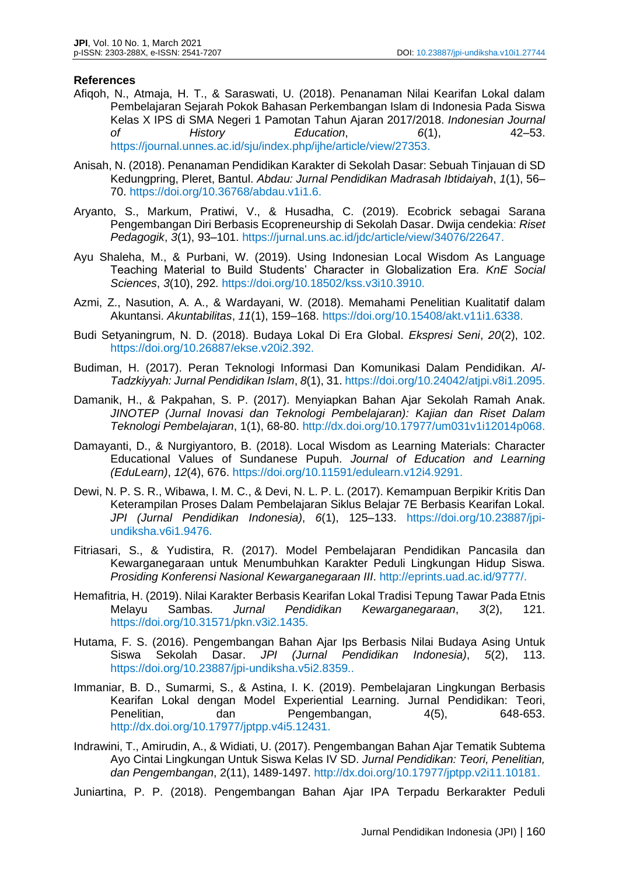### **References**

- Afiqoh, N., Atmaja, H. T., & Saraswati, U. (2018). Penanaman Nilai Kearifan Lokal dalam Pembelajaran Sejarah Pokok Bahasan Perkembangan Islam di Indonesia Pada Siswa Kelas X IPS di SMA Negeri 1 Pamotan Tahun Ajaran 2017/2018. *Indonesian Journal of History Education*, *6*(1), 42–53. https://journal.unnes.ac.id/sju/index.php/ijhe/article/view/27353.
- Anisah, N. (2018). Penanaman Pendidikan Karakter di Sekolah Dasar: Sebuah Tinjauan di SD Kedungpring, Pleret, Bantul. *Abdau: Jurnal Pendidikan Madrasah Ibtidaiyah*, *1*(1), 56– 70. [https://doi.org/10.36768/abdau.v1i1.6.](https://doi.org/10.36768/abdau.v1i1.6)
- Aryanto, S., Markum, Pratiwi, V., & Husadha, C. (2019). Ecobrick sebagai Sarana Pengembangan Diri Berbasis Ecopreneurship di Sekolah Dasar. Dwija cendekia: *Riset Pedagogik*, *3*(1), 93–101. https://jurnal.uns.ac.id/jdc/article/view/34076/22647.
- Ayu Shaleha, M., & Purbani, W. (2019). Using Indonesian Local Wisdom As Language Teaching Material to Build Students' Character in Globalization Era. *KnE Social Sciences*, *3*(10), 292. https://doi.org/10.18502/kss.v3i10.3910.
- Azmi, Z., Nasution, A. A., & Wardayani, W. (2018). Memahami Penelitian Kualitatif dalam Akuntansi. *Akuntabilitas*, *11*(1), 159–168. https://doi.org/10.15408/akt.v11i1.6338.
- Budi Setyaningrum, N. D. (2018). Budaya Lokal Di Era Global. *Ekspresi Seni*, *20*(2), 102. https://doi.org/10.26887/ekse.v20i2.392.
- Budiman, H. (2017). Peran Teknologi Informasi Dan Komunikasi Dalam Pendidikan. *Al-Tadzkiyyah: Jurnal Pendidikan Islam*, *8*(1), 31. https://doi.org/10.24042/atjpi.v8i1.2095.
- Damanik, H., & Pakpahan, S. P. (2017). Menyiapkan Bahan Ajar Sekolah Ramah Anak. *JINOTEP (Jurnal Inovasi dan Teknologi Pembelajaran): Kajian dan Riset Dalam Teknologi Pembelajaran*, 1(1), 68-80. http://dx.doi.org/10.17977/um031v1i12014p068.
- Damayanti, D., & Nurgiyantoro, B. (2018). Local Wisdom as Learning Materials: Character Educational Values of Sundanese Pupuh. *Journal of Education and Learning (EduLearn)*, *12*(4), 676. https://doi.org/10.11591/edulearn.v12i4.9291.
- Dewi, N. P. S. R., Wibawa, I. M. C., & Devi, N. L. P. L. (2017). Kemampuan Berpikir Kritis Dan Keterampilan Proses Dalam Pembelajaran Siklus Belajar 7E Berbasis Kearifan Lokal. *JPI (Jurnal Pendidikan Indonesia)*, *6*(1), 125–133. https://doi.org/10.23887/jpiundiksha.v6i1.9476.
- Fitriasari, S., & Yudistira, R. (2017). Model Pembelajaran Pendidikan Pancasila dan Kewarganegaraan untuk Menumbuhkan Karakter Peduli Lingkungan Hidup Siswa. *Prosiding Konferensi Nasional Kewarganegaraan III*. http://eprints.uad.ac.id/9777/.
- Hemafitria, H. (2019). Nilai Karakter Berbasis Kearifan Lokal Tradisi Tepung Tawar Pada Etnis Melayu Sambas. *Jurnal Pendidikan Kewarganegaraan*, *3*(2), 121. https://doi.org/10.31571/pkn.v3i2.1435.
- Hutama, F. S. (2016). Pengembangan Bahan Ajar Ips Berbasis Nilai Budaya Asing Untuk Siswa Sekolah Dasar. *JPI (Jurnal Pendidikan Indonesia)*, *5*(2), 113. https://doi.org/10.23887/jpi-undiksha.v5i2.8359..
- Immaniar, B. D., Sumarmi, S., & Astina, I. K. (2019). Pembelajaran Lingkungan Berbasis Kearifan Lokal dengan Model Experiential Learning. Jurnal Pendidikan: Teori, Penelitian, dan Pengembangan, 4(5), 648-653. http://dx.doi.org/10.17977/jptpp.v4i5.12431.
- Indrawini, T., Amirudin, A., & Widiati, U. (2017). Pengembangan Bahan Ajar Tematik Subtema Ayo Cintai Lingkungan Untuk Siswa Kelas IV SD. *Jurnal Pendidikan: Teori, Penelitian, dan Pengembangan*, 2(11), 1489-1497. http://dx.doi.org/10.17977/jptpp.v2i11.10181.

Juniartina, P. P. (2018). Pengembangan Bahan Ajar IPA Terpadu Berkarakter Peduli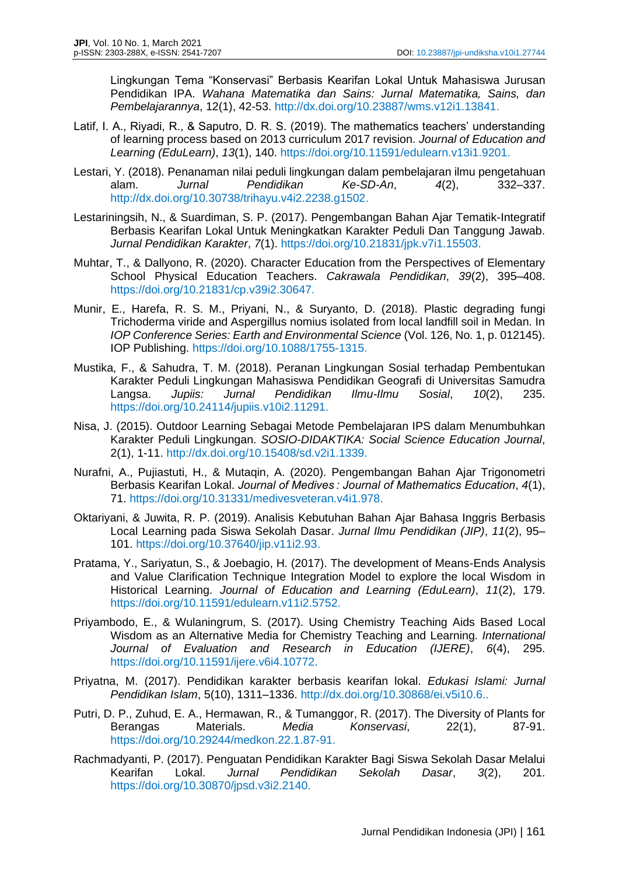Lingkungan Tema "Konservasi" Berbasis Kearifan Lokal Untuk Mahasiswa Jurusan Pendidikan IPA. *Wahana Matematika dan Sains: Jurnal Matematika, Sains, dan Pembelajarannya*, 12(1), 42-53. http://dx.doi.org/10.23887/wms.v12i1.13841.

- Latif, I. A., Riyadi, R., & Saputro, D. R. S. (2019). The mathematics teachers' understanding of learning process based on 2013 curriculum 2017 revision. *Journal of Education and Learning (EduLearn)*, *13*(1), 140. https://doi.org/10.11591/edulearn.v13i1.9201.
- Lestari, Y. (2018). Penanaman nilai peduli lingkungan dalam pembelajaran ilmu pengetahuan alam. *Jurnal Pendidikan Ke-SD-An*, *4*(2), 332–337. http://dx.doi.org/10.30738/trihayu.v4i2.2238.g1502.
- Lestariningsih, N., & Suardiman, S. P. (2017). Pengembangan Bahan Ajar Tematik-Integratif Berbasis Kearifan Lokal Untuk Meningkatkan Karakter Peduli Dan Tanggung Jawab. *Jurnal Pendidikan Karakter*, *7*(1). https://doi.org/10.21831/jpk.v7i1.15503.
- Muhtar, T., & Dallyono, R. (2020). Character Education from the Perspectives of Elementary School Physical Education Teachers. *Cakrawala Pendidikan*, *39*(2), 395–408. https://doi.org/10.21831/cp.v39i2.30647.
- Munir, E., Harefa, R. S. M., Priyani, N., & Suryanto, D. (2018). Plastic degrading fungi Trichoderma viride and Aspergillus nomius isolated from local landfill soil in Medan. In *IOP Conference Series: Earth and Environmental Science* (Vol. 126, No. 1, p. 012145). IOP Publishing. https://doi.org/10.1088/1755-1315.
- Mustika, F., & Sahudra, T. M. (2018). Peranan Lingkungan Sosial terhadap Pembentukan Karakter Peduli Lingkungan Mahasiswa Pendidikan Geografi di Universitas Samudra Langsa. *Jupiis: Jurnal Pendidikan Ilmu-Ilmu Sosial*, *10*(2), 235. https://doi.org/10.24114/jupiis.v10i2.11291.
- Nisa, J. (2015). Outdoor Learning Sebagai Metode Pembelajaran IPS dalam Menumbuhkan Karakter Peduli Lingkungan. *SOSIO-DIDAKTIKA: Social Science Education Journal*, 2(1), 1-11. http://dx.doi.org/10.15408/sd.v2i1.1339.
- Nurafni, A., Pujiastuti, H., & Mutaqin, A. (2020). Pengembangan Bahan Ajar Trigonometri Berbasis Kearifan Lokal. *Journal of Medives : Journal of Mathematics Education*, *4*(1), 71. https://doi.org/10.31331/medivesveteran.v4i1.978.
- Oktariyani, & Juwita, R. P. (2019). Analisis Kebutuhan Bahan Ajar Bahasa Inggris Berbasis Local Learning pada Siswa Sekolah Dasar. *Jurnal Ilmu Pendidikan (JIP)*, *11*(2), 95– 101. https://doi.org/10.37640/jip.v11i2.93.
- Pratama, Y., Sariyatun, S., & Joebagio, H. (2017). The development of Means-Ends Analysis and Value Clarification Technique Integration Model to explore the local Wisdom in Historical Learning. *Journal of Education and Learning (EduLearn)*, *11*(2), 179. https://doi.org/10.11591/edulearn.v11i2.5752.
- Priyambodo, E., & Wulaningrum, S. (2017). Using Chemistry Teaching Aids Based Local Wisdom as an Alternative Media for Chemistry Teaching and Learning. *International Journal of Evaluation and Research in Education (IJERE)*, *6*(4), 295. https://doi.org/10.11591/ijere.v6i4.10772.
- Priyatna, M. (2017). Pendidikan karakter berbasis kearifan lokal. *Edukasi Islami: Jurnal Pendidikan Islam*, 5(10), 1311–1336. http://dx.doi.org/10.30868/ei.v5i10.6..
- Putri, D. P., Zuhud, E. A., Hermawan, R., & Tumanggor, R. (2017). The Diversity of Plants for Berangas Materials. *Media Konservasi*, 22(1), 87-91. https://doi.org/10.29244/medkon.22.1.87-91.
- Rachmadyanti, P. (2017). Penguatan Pendidikan Karakter Bagi Siswa Sekolah Dasar Melalui Kearifan Lokal. *Jurnal Pendidikan Sekolah Dasar*, *3*(2), 201. https://doi.org/10.30870/jpsd.v3i2.2140.